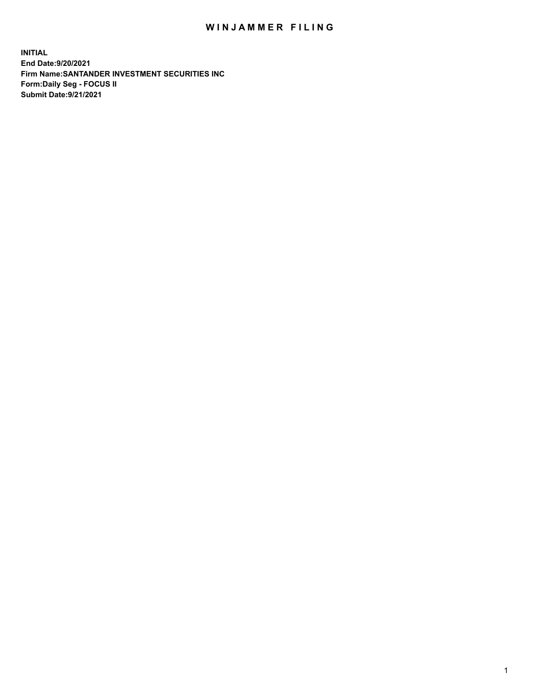## WIN JAMMER FILING

**INITIAL End Date:9/20/2021 Firm Name:SANTANDER INVESTMENT SECURITIES INC Form:Daily Seg - FOCUS II Submit Date:9/21/2021**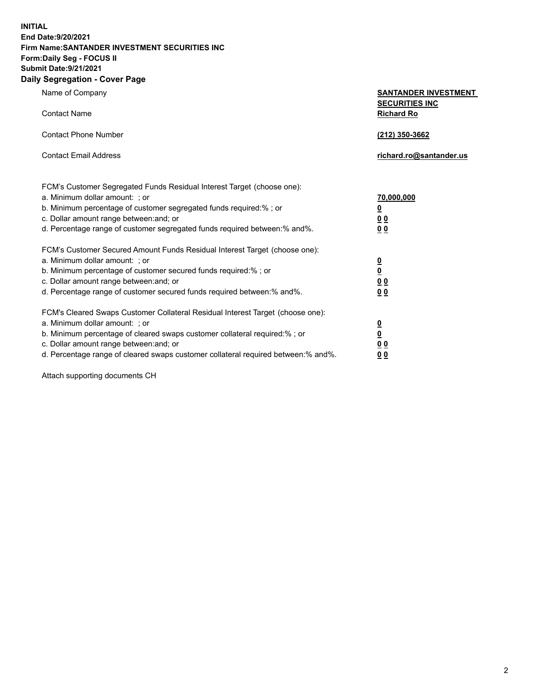**INITIAL End Date:9/20/2021 Firm Name:SANTANDER INVESTMENT SECURITIES INC Form:Daily Seg - FOCUS II Submit Date:9/21/2021 Daily Segregation - Cover Page**

| Name of Company<br><b>Contact Name</b>                                            | <b>SANTANDER INVESTMENT</b><br><b>SECURITIES INC</b><br><b>Richard Ro</b> |
|-----------------------------------------------------------------------------------|---------------------------------------------------------------------------|
|                                                                                   |                                                                           |
| <b>Contact Phone Number</b>                                                       | (212) 350-3662                                                            |
| <b>Contact Email Address</b>                                                      | richard.ro@santander.us                                                   |
| FCM's Customer Segregated Funds Residual Interest Target (choose one):            |                                                                           |
| a. Minimum dollar amount: ; or                                                    | <u>70,000,000</u>                                                         |
| b. Minimum percentage of customer segregated funds required:% ; or                | $\overline{\mathbf{0}}$                                                   |
| c. Dollar amount range between: and; or                                           | 0 <sub>0</sub>                                                            |
| d. Percentage range of customer segregated funds required between:% and%.         | 0 <sub>0</sub>                                                            |
| FCM's Customer Secured Amount Funds Residual Interest Target (choose one):        |                                                                           |
| a. Minimum dollar amount: ; or                                                    | $\frac{0}{0}$                                                             |
| b. Minimum percentage of customer secured funds required:% ; or                   |                                                                           |
| c. Dollar amount range between: and; or                                           | 0 <sub>0</sub>                                                            |
| d. Percentage range of customer secured funds required between:% and%.            | 0 <sub>0</sub>                                                            |
| FCM's Cleared Swaps Customer Collateral Residual Interest Target (choose one):    |                                                                           |
| a. Minimum dollar amount: ; or                                                    |                                                                           |
| b. Minimum percentage of cleared swaps customer collateral required:% ; or        | $\frac{0}{0}$                                                             |
| c. Dollar amount range between: and; or                                           | 0 <sub>0</sub>                                                            |
| d. Percentage range of cleared swaps customer collateral required between:% and%. | 00                                                                        |

Attach supporting documents CH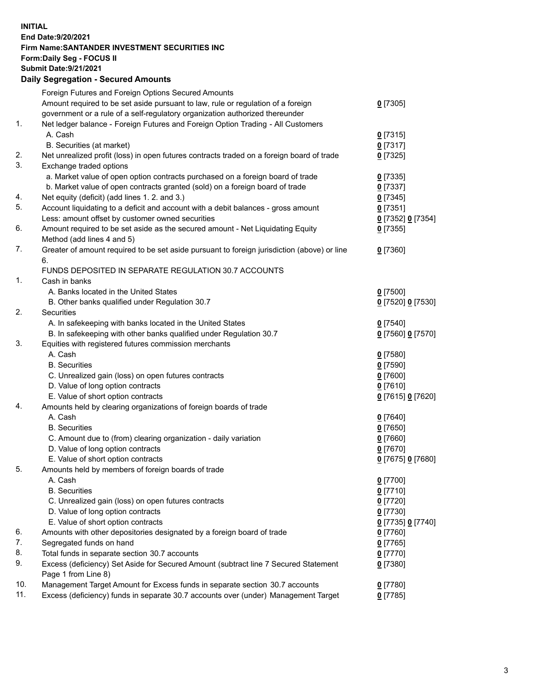**INITIAL End Date:9/20/2021 Firm Name:SANTANDER INVESTMENT SECURITIES INC Form:Daily Seg - FOCUS II Submit Date:9/21/2021 Daily Segregation - Secured Amounts**

|     | Foreign Futures and Foreign Options Secured Amounts                                         |                   |
|-----|---------------------------------------------------------------------------------------------|-------------------|
|     | Amount required to be set aside pursuant to law, rule or regulation of a foreign            | $0$ [7305]        |
|     | government or a rule of a self-regulatory organization authorized thereunder                |                   |
| 1.  | Net ledger balance - Foreign Futures and Foreign Option Trading - All Customers             |                   |
|     | A. Cash                                                                                     | $0$ [7315]        |
|     | B. Securities (at market)                                                                   | 0[7317]           |
| 2.  | Net unrealized profit (loss) in open futures contracts traded on a foreign board of trade   | $0$ [7325]        |
| 3.  | Exchange traded options                                                                     |                   |
|     | a. Market value of open option contracts purchased on a foreign board of trade              | $0$ [7335]        |
|     | b. Market value of open contracts granted (sold) on a foreign board of trade                | $0$ [7337]        |
| 4.  | Net equity (deficit) (add lines 1. 2. and 3.)                                               | $0$ [7345]        |
| 5.  | Account liquidating to a deficit and account with a debit balances - gross amount           | $0$ [7351]        |
|     | Less: amount offset by customer owned securities                                            | 0 [7352] 0 [7354] |
| 6.  | Amount required to be set aside as the secured amount - Net Liquidating Equity              | $0$ [7355]        |
|     | Method (add lines 4 and 5)                                                                  |                   |
| 7.  | Greater of amount required to be set aside pursuant to foreign jurisdiction (above) or line | $0$ [7360]        |
|     | 6.                                                                                          |                   |
|     | FUNDS DEPOSITED IN SEPARATE REGULATION 30.7 ACCOUNTS                                        |                   |
| 1.  | Cash in banks                                                                               |                   |
|     | A. Banks located in the United States                                                       | $0$ [7500]        |
|     | B. Other banks qualified under Regulation 30.7                                              | 0 [7520] 0 [7530] |
| 2.  | Securities                                                                                  |                   |
|     | A. In safekeeping with banks located in the United States                                   | $0$ [7540]        |
|     | B. In safekeeping with other banks qualified under Regulation 30.7                          | 0 [7560] 0 [7570] |
| 3.  | Equities with registered futures commission merchants                                       |                   |
|     | A. Cash                                                                                     | $0$ [7580]        |
|     | <b>B.</b> Securities                                                                        | $0$ [7590]        |
|     | C. Unrealized gain (loss) on open futures contracts                                         | $0$ [7600]        |
|     | D. Value of long option contracts                                                           | $0$ [7610]        |
|     | E. Value of short option contracts                                                          | 0 [7615] 0 [7620] |
| 4.  | Amounts held by clearing organizations of foreign boards of trade                           |                   |
|     | A. Cash                                                                                     | $0$ [7640]        |
|     | <b>B.</b> Securities                                                                        | $0$ [7650]        |
|     | C. Amount due to (from) clearing organization - daily variation                             | $0$ [7660]        |
|     | D. Value of long option contracts                                                           | $0$ [7670]        |
|     | E. Value of short option contracts                                                          | 0 [7675] 0 [7680] |
| 5.  | Amounts held by members of foreign boards of trade                                          |                   |
|     | A. Cash                                                                                     | $0$ [7700]        |
|     | <b>B.</b> Securities                                                                        | $0$ [7710]        |
|     | C. Unrealized gain (loss) on open futures contracts                                         | $0$ [7720]        |
|     | D. Value of long option contracts                                                           | $0$ [7730]        |
|     | E. Value of short option contracts                                                          | 0 [7735] 0 [7740] |
| 6.  | Amounts with other depositories designated by a foreign board of trade                      | $0$ [7760]        |
| 7.  | Segregated funds on hand                                                                    | $0$ [7765]        |
| 8.  | Total funds in separate section 30.7 accounts                                               | $0$ [7770]        |
| 9.  | Excess (deficiency) Set Aside for Secured Amount (subtract line 7 Secured Statement         | 0 [7380]          |
|     | Page 1 from Line 8)                                                                         |                   |
| 10. | Management Target Amount for Excess funds in separate section 30.7 accounts                 | $0$ [7780]        |
| 11. | Excess (deficiency) funds in separate 30.7 accounts over (under) Management Target          | $0$ [7785]        |
|     |                                                                                             |                   |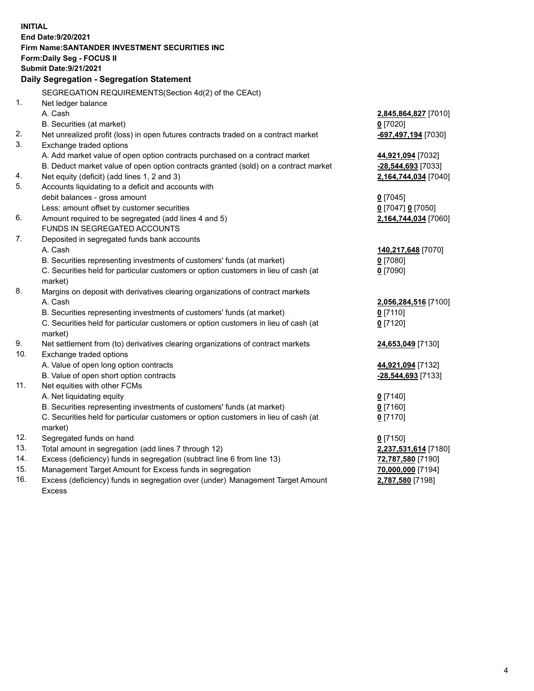| <b>INITIAL</b> |                                                                                                            |                                           |
|----------------|------------------------------------------------------------------------------------------------------------|-------------------------------------------|
|                | End Date: 9/20/2021<br><b>Firm Name: SANTANDER INVESTMENT SECURITIES INC</b>                               |                                           |
|                |                                                                                                            |                                           |
|                | <b>Form:Daily Seg - FOCUS II</b><br><b>Submit Date: 9/21/2021</b>                                          |                                           |
|                |                                                                                                            |                                           |
|                | Daily Segregation - Segregation Statement                                                                  |                                           |
|                | SEGREGATION REQUIREMENTS(Section 4d(2) of the CEAct)                                                       |                                           |
| 1.             | Net ledger balance                                                                                         |                                           |
|                | A. Cash                                                                                                    | 2,845,864,827 [7010]                      |
|                | B. Securities (at market)                                                                                  | $0$ [7020]                                |
| 2.             | Net unrealized profit (loss) in open futures contracts traded on a contract market                         | -697,497,194 [7030]                       |
| 3.             | Exchange traded options                                                                                    |                                           |
|                | A. Add market value of open option contracts purchased on a contract market                                | 44,921,094 [7032]                         |
|                | B. Deduct market value of open option contracts granted (sold) on a contract market                        | -28,544,693 [7033]                        |
| 4.             | Net equity (deficit) (add lines 1, 2 and 3)                                                                | 2,164,744,034 [7040]                      |
| 5.             | Accounts liquidating to a deficit and accounts with                                                        |                                           |
|                | debit balances - gross amount                                                                              | $0$ [7045]                                |
|                | Less: amount offset by customer securities                                                                 | 0 [7047] 0 [7050]                         |
| 6.             | Amount required to be segregated (add lines 4 and 5)                                                       | 2,164,744,034 [7060]                      |
|                | FUNDS IN SEGREGATED ACCOUNTS                                                                               |                                           |
| 7.             | Deposited in segregated funds bank accounts                                                                |                                           |
|                | A. Cash                                                                                                    | 140,217,648 [7070]                        |
|                | B. Securities representing investments of customers' funds (at market)                                     | $0$ [7080]                                |
|                | C. Securities held for particular customers or option customers in lieu of cash (at                        | $0$ [7090]                                |
|                | market)                                                                                                    |                                           |
| 8.             | Margins on deposit with derivatives clearing organizations of contract markets                             |                                           |
|                | A. Cash                                                                                                    | 2,056,284,516 [7100]                      |
|                | B. Securities representing investments of customers' funds (at market)                                     | $0$ [7110]                                |
|                | C. Securities held for particular customers or option customers in lieu of cash (at                        | $0$ [7120]                                |
| 9.             | market)                                                                                                    |                                           |
| 10.            | Net settlement from (to) derivatives clearing organizations of contract markets<br>Exchange traded options | 24,653,049 [7130]                         |
|                |                                                                                                            |                                           |
|                | A. Value of open long option contracts<br>B. Value of open short option contracts                          | 44,921,094 [7132]<br>$-28,544,693$ [7133] |
| 11.            | Net equities with other FCMs                                                                               |                                           |
|                | A. Net liquidating equity                                                                                  | $0$ [7140]                                |
|                | B. Securities representing investments of customers' funds (at market)                                     | $0$ [7160]                                |
|                | C. Securities held for particular customers or option customers in lieu of cash (at                        | $0$ [7170]                                |
|                | market)                                                                                                    |                                           |
| 12.            | Segregated funds on hand                                                                                   | $0$ [7150]                                |
| 13.            | Total amount in segregation (add lines 7 through 12)                                                       | 2,237,531,614 [7180]                      |
| 14.            | Excess (deficiency) funds in segregation (subtract line 6 from line 13)                                    | 72,787,580 [7190]                         |
| 15.            | Management Target Amount for Excess funds in segregation                                                   | 70,000,000 [7194]                         |
| 16.            | Excess (deficiency) funds in segregation over (under) Management Target Amount                             | 2,787,580 [7198]                          |
|                | <b>Excess</b>                                                                                              |                                           |